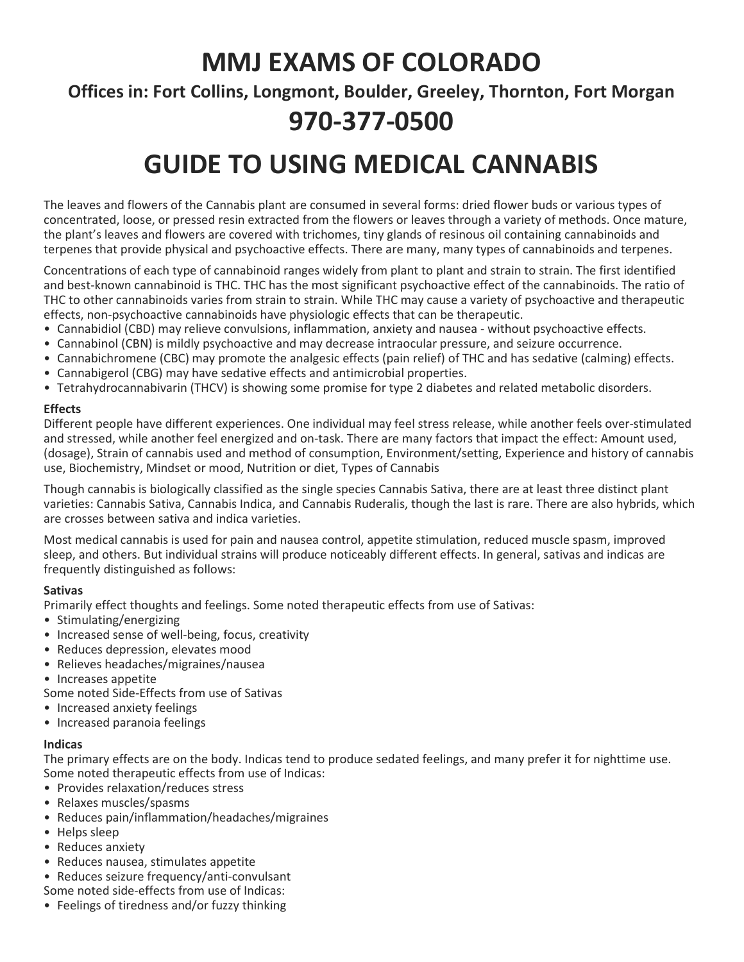## MMJ EXAMS OF COLORADO

Offices in: Fort Collins, Longmont, Boulder, Greeley, Thornton, Fort Morgan

## 970-377-0500

# GUIDE TO USING MEDICAL CANNABIS

The leaves and flowers of the Cannabis plant are consumed in several forms: dried flower buds or various types of concentrated, loose, or pressed resin extracted from the flowers or leaves through a variety of methods. Once mature, the plant's leaves and flowers are covered with trichomes, tiny glands of resinous oil containing cannabinoids and terpenes that provide physical and psychoactive effects. There are many, many types of cannabinoids and terpenes.

Concentrations of each type of cannabinoid ranges widely from plant to plant and strain to strain. The first identified and best-known cannabinoid is THC. THC has the most significant psychoactive effect of the cannabinoids. The ratio of THC to other cannabinoids varies from strain to strain. While THC may cause a variety of psychoactive and therapeutic effects, non-psychoactive cannabinoids have physiologic effects that can be therapeutic.

- Cannabidiol (CBD) may relieve convulsions, inflammation, anxiety and nausea without psychoactive effects.
- Cannabinol (CBN) is mildly psychoactive and may decrease intraocular pressure, and seizure occurrence.
- Cannabichromene (CBC) may promote the analgesic effects (pain relief) of THC and has sedative (calming) effects.
- Cannabigerol (CBG) may have sedative effects and antimicrobial properties.
- Tetrahydrocannabivarin (THCV) is showing some promise for type 2 diabetes and related metabolic disorders.

### Effects

Different people have different experiences. One individual may feel stress release, while another feels over-stimulated and stressed, while another feel energized and on-task. There are many factors that impact the effect: Amount used, (dosage), Strain of cannabis used and method of consumption, Environment/setting, Experience and history of cannabis use, Biochemistry, Mindset or mood, Nutrition or diet, Types of Cannabis

Though cannabis is biologically classified as the single species Cannabis Sativa, there are at least three distinct plant varieties: Cannabis Sativa, Cannabis Indica, and Cannabis Ruderalis, though the last is rare. There are also hybrids, which are crosses between sativa and indica varieties.

Most medical cannabis is used for pain and nausea control, appetite stimulation, reduced muscle spasm, improved sleep, and others. But individual strains will produce noticeably different effects. In general, sativas and indicas are frequently distinguished as follows:

### Sativas

Primarily effect thoughts and feelings. Some noted therapeutic effects from use of Sativas:

- Stimulating/energizing
- Increased sense of well-being, focus, creativity
- Reduces depression, elevates mood
- Relieves headaches/migraines/nausea
- Increases appetite
- Some noted Side-Effects from use of Sativas
- Increased anxiety feelings
- Increased paranoia feelings

### Indicas

The primary effects are on the body. Indicas tend to produce sedated feelings, and many prefer it for nighttime use. Some noted therapeutic effects from use of Indicas:

- Provides relaxation/reduces stress
- Relaxes muscles/spasms
- Reduces pain/inflammation/headaches/migraines
- Helps sleep
- Reduces anxiety
- Reduces nausea, stimulates appetite
- Reduces seizure frequency/anti-convulsant
- Some noted side-effects from use of Indicas:
- Feelings of tiredness and/or fuzzy thinking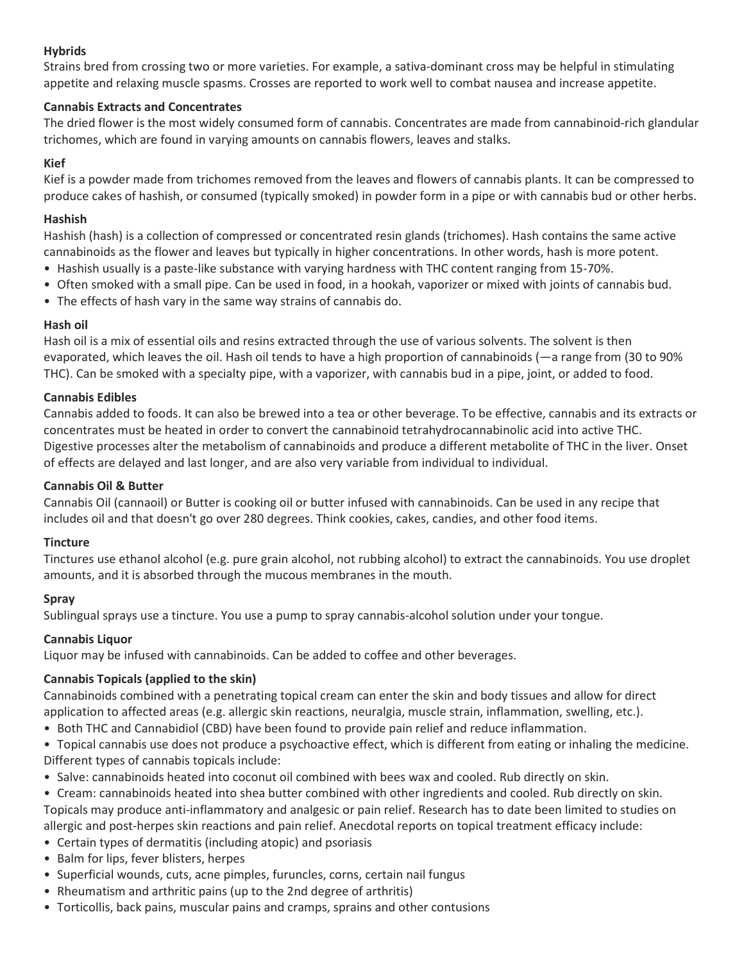### Hybrids

Strains bred from crossing two or more varieties. For example, a sativa-dominant cross may be helpful in stimulating appetite and relaxing muscle spasms. Crosses are reported to work well to combat nausea and increase appetite.

### Cannabis Extracts and Concentrates

The dried flower is the most widely consumed form of cannabis. Concentrates are made from cannabinoid-rich glandular trichomes, which are found in varying amounts on cannabis flowers, leaves and stalks.

### Kief

Kief is a powder made from trichomes removed from the leaves and flowers of cannabis plants. It can be compressed to produce cakes of hashish, or consumed (typically smoked) in powder form in a pipe or with cannabis bud or other herbs.

### Hashish

Hashish (hash) is a collection of compressed or concentrated resin glands (trichomes). Hash contains the same active cannabinoids as the flower and leaves but typically in higher concentrations. In other words, hash is more potent.

- Hashish usually is a paste-like substance with varying hardness with THC content ranging from 15-70%.
- Often smoked with a small pipe. Can be used in food, in a hookah, vaporizer or mixed with joints of cannabis bud.
- The effects of hash vary in the same way strains of cannabis do.

### Hash oil

Hash oil is a mix of essential oils and resins extracted through the use of various solvents. The solvent is then evaporated, which leaves the oil. Hash oil tends to have a high proportion of cannabinoids (—a range from (30 to 90% THC). Can be smoked with a specialty pipe, with a vaporizer, with cannabis bud in a pipe, joint, or added to food.

### Cannabis Edibles

Cannabis added to foods. It can also be brewed into a tea or other beverage. To be effective, cannabis and its extracts or concentrates must be heated in order to convert the cannabinoid tetrahydrocannabinolic acid into active THC. Digestive processes alter the metabolism of cannabinoids and produce a different metabolite of THC in the liver. Onset of effects are delayed and last longer, and are also very variable from individual to individual.

### Cannabis Oil & Butter

Cannabis Oil (cannaoil) or Butter is cooking oil or butter infused with cannabinoids. Can be used in any recipe that includes oil and that doesn't go over 280 degrees. Think cookies, cakes, candies, and other food items.

### **Tincture**

Tinctures use ethanol alcohol (e.g. pure grain alcohol, not rubbing alcohol) to extract the cannabinoids. You use droplet amounts, and it is absorbed through the mucous membranes in the mouth.

## Spray

Sublingual sprays use a tincture. You use a pump to spray cannabis-alcohol solution under your tongue.

## Cannabis Liquor

Liquor may be infused with cannabinoids. Can be added to coffee and other beverages.

## Cannabis Topicals (applied to the skin)

Cannabinoids combined with a penetrating topical cream can enter the skin and body tissues and allow for direct application to affected areas (e.g. allergic skin reactions, neuralgia, muscle strain, inflammation, swelling, etc.).

- Both THC and Cannabidiol (CBD) have been found to provide pain relief and reduce inflammation.
- Topical cannabis use does not produce a psychoactive effect, which is different from eating or inhaling the medicine. Different types of cannabis topicals include:
- Salve: cannabinoids heated into coconut oil combined with bees wax and cooled. Rub directly on skin.
- Cream: cannabinoids heated into shea butter combined with other ingredients and cooled. Rub directly on skin.

Topicals may produce anti-inflammatory and analgesic or pain relief. Research has to date been limited to studies on allergic and post-herpes skin reactions and pain relief. Anecdotal reports on topical treatment efficacy include:

- Certain types of dermatitis (including atopic) and psoriasis
- Balm for lips, fever blisters, herpes
- Superficial wounds, cuts, acne pimples, furuncles, corns, certain nail fungus
- Rheumatism and arthritic pains (up to the 2nd degree of arthritis)
- Torticollis, back pains, muscular pains and cramps, sprains and other contusions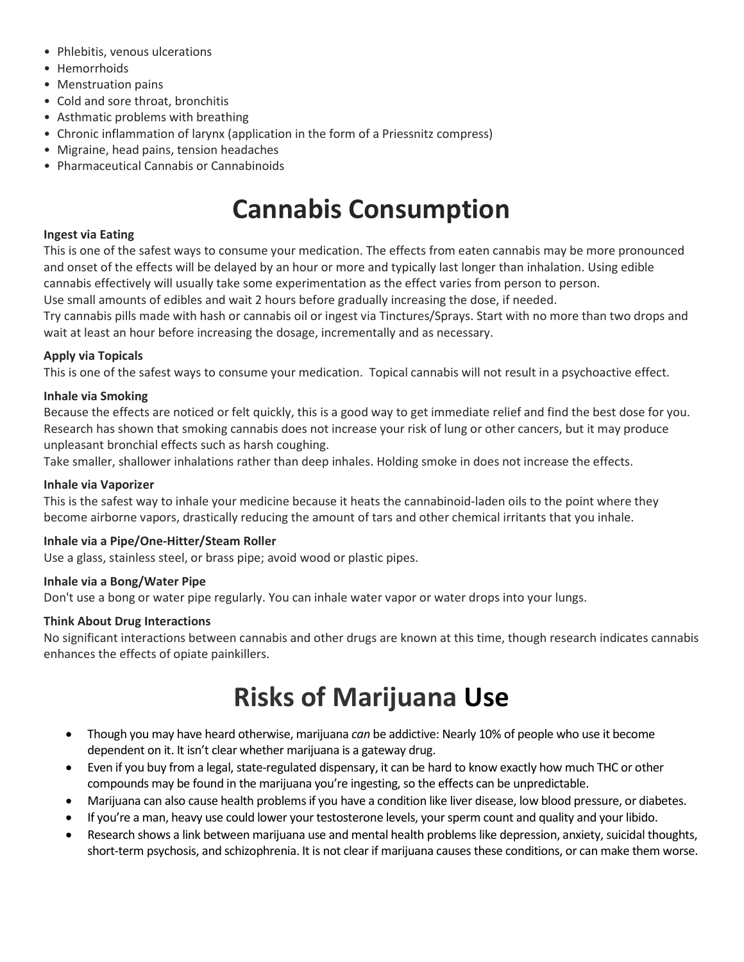- Phlebitis, venous ulcerations
- Hemorrhoids
- Menstruation pains
- Cold and sore throat, bronchitis
- Asthmatic problems with breathing
- Chronic inflammation of larynx (application in the form of a Priessnitz compress)
- Migraine, head pains, tension headaches
- Pharmaceutical Cannabis or Cannabinoids

## Cannabis Consumption

### Ingest via Eating

This is one of the safest ways to consume your medication. The effects from eaten cannabis may be more pronounced and onset of the effects will be delayed by an hour or more and typically last longer than inhalation. Using edible cannabis effectively will usually take some experimentation as the effect varies from person to person.

Use small amounts of edibles and wait 2 hours before gradually increasing the dose, if needed.

Try cannabis pills made with hash or cannabis oil or ingest via Tinctures/Sprays. Start with no more than two drops and wait at least an hour before increasing the dosage, incrementally and as necessary.

### Apply via Topicals

This is one of the safest ways to consume your medication. Topical cannabis will not result in a psychoactive effect.

### Inhale via Smoking

Because the effects are noticed or felt quickly, this is a good way to get immediate relief and find the best dose for you. Research has shown that smoking cannabis does not increase your risk of lung or other cancers, but it may produce unpleasant bronchial effects such as harsh coughing.

Take smaller, shallower inhalations rather than deep inhales. Holding smoke in does not increase the effects.

### Inhale via Vaporizer

This is the safest way to inhale your medicine because it heats the cannabinoid-laden oils to the point where they become airborne vapors, drastically reducing the amount of tars and other chemical irritants that you inhale.

### Inhale via a Pipe/One-Hitter/Steam Roller

Use a glass, stainless steel, or brass pipe; avoid wood or plastic pipes.

### Inhale via a Bong/Water Pipe

Don't use a bong or water pipe regularly. You can inhale water vapor or water drops into your lungs.

### Think About Drug Interactions

No significant interactions between cannabis and other drugs are known at this time, though research indicates cannabis enhances the effects of opiate painkillers.

# Risks of Marijuana Use

- Though you may have heard otherwise, marijuana can be addictive: Nearly 10% of people who use it become dependent on it. It isn't clear whether marijuana is a gateway drug.
- Even if you buy from a legal, state-regulated dispensary, it can be hard to know exactly how much THC or other compounds may be found in the marijuana you're ingesting, so the effects can be unpredictable.
- Marijuana can also cause health problems if you have a condition like liver disease, low blood pressure, or diabetes.
- If you're a man, heavy use could lower your testosterone levels, your sperm count and quality and your libido.
- Research shows a link between marijuana use and mental health problems like depression, anxiety, suicidal thoughts, short-term psychosis, and schizophrenia. It is not clear if marijuana causes these conditions, or can make them worse.